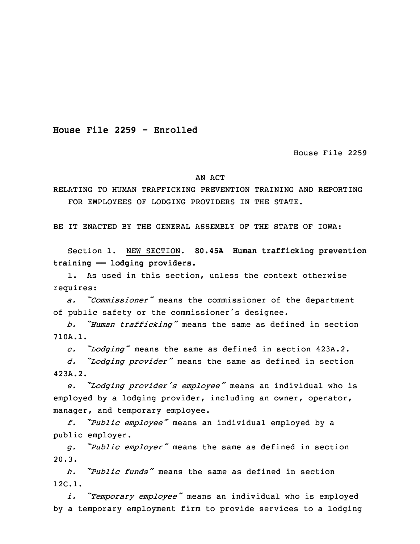**House File 2259 - Enrolled**

House File 2259

## AN ACT

RELATING TO HUMAN TRAFFICKING PREVENTION TRAINING AND REPORTING FOR EMPLOYEES OF LODGING PROVIDERS IN THE STATE.

BE IT ENACTED BY THE GENERAL ASSEMBLY OF THE STATE OF IOWA:

 Section 1. NEW SECTION. **80.45A Human trafficking prevention training —— lodging providers.**

1. As used in this section, unless the context otherwise requires:

<sup>5</sup> *a. "Commissioner"* means the commissioner of the department of public safety or the commissioner's designee.

<sup>7</sup> *b. "Human trafficking"* means the same as defined in section 8 710A.1.

<sup>9</sup> *c. "Lodging"* means the same as defined in section 423A.2.

<sup>10</sup> *d. "Lodging provider"* means the same as defined in section 423A.2.

 *e. "Lodging provider's employee"* means an individual who is employed by a lodging provider, including an owner, operator, manager, and temporary employee.

<sup>15</sup> *f. "Public employee"* means an individual employed by <sup>a</sup> public employer.

<sup>17</sup> *g. "Public employer"* means the same as defined in section  $20.3.$ 

19 *h. "Public funds"* means the same as defined in section 20 12C.1.

 *i. "Temporary employee"* means an individual who is employed by <sup>a</sup> temporary employment firm to provide services to <sup>a</sup> lodging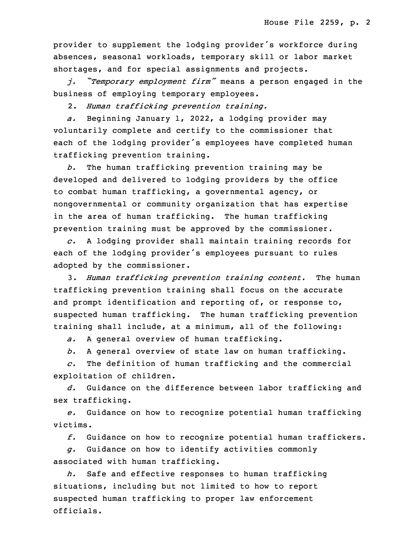provider to supplement the lodging provider's workforce during absences, seasonal workloads, temporary skill or labor market shortages, and for special assignments and projects.

<sup>26</sup> *j. "Temporary employment firm"* means <sup>a</sup> person engaged in the business of employing temporary employees.

28 2. *Human trafficking prevention training.*

a. Beginning January 1, 2022, a lodging provider may voluntarily complete and certify to the commissioner that each of the lodging provider's employees have completed human trafficking prevention training.

b. The human trafficking prevention training may be developed and delivered to lodging providers by the office 35 to combat human trafficking, <sup>a</sup> governmental agency, or nongovernmental or community organization that has expertise in the area of human trafficking. The human trafficking prevention training must be approved by the commissioner.

 *c.* <sup>A</sup> lodging provider shall maintain training records for each of the lodging provider's employees pursuant to rules adopted by the commissioner.

7 3. *Human trafficking prevention training content.* The human trafficking prevention training shall focus on the accurate and prompt identification and reporting of, or response to, suspected human trafficking. The human trafficking prevention training shall include, at <sup>a</sup> minimum, all of the following:

*a.* <sup>A</sup> general overview of human trafficking.

b. A general overview of state law on human trafficking.

 *c.* The definition of human trafficking and the commercial exploitation of children.

16 *d.* Guidance on the difference between labor trafficking and sex trafficking.

18 *e.* Guidance on how to recognize potential human trafficking victims.

20 *f.* Guidance on how to recognize potential human traffickers.

 *g.* Guidance on how to identify activities commonly associated with human trafficking.

h. Safe and effective responses to human trafficking situations, including but not limited to how to report suspected human trafficking to proper law enforcement officials.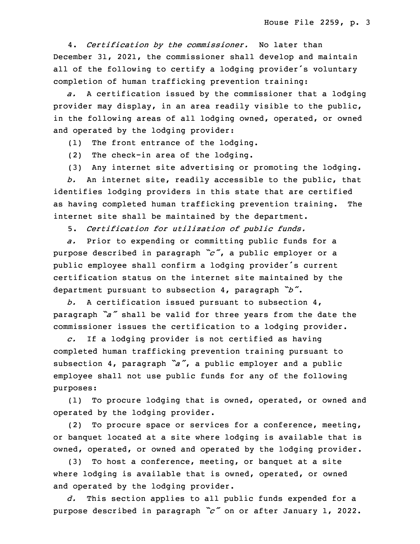27 4. *Certification by the commissioner.* No later than December 31, 2021, the commissioner shall develop and maintain all of the following to certify a lodging provider's voluntary completion of human trafficking prevention training:

31 *a.* <sup>A</sup> certification issued by the commissioner that <sup>a</sup> lodging provider may display, in an area readily visible to the public, in the following areas of all lodging owned, operated, or owned and operated by the lodging provider:

(1) The front entrance of the lodging.

(2) The check-in area of the lodging.

(3) Any internet site advertising or promoting the lodging.

3 *b.* An internet site, readily accessible to the public, that identifies lodging providers in this state that are certified as having completed human trafficking prevention training. The internet site shall be maintained by the department.

7 5. *Certification for utilization of public funds.*

a. Prior to expending or committing public funds for a <sup>9</sup> purpose described in paragraph *"c"*, <sup>a</sup> public employer or <sup>a</sup> public employee shall confirm a lodging provider's current certification status on the internet site maintained by the department pursuant to subsection 4, paragraph *"b"*.

b. A certification issued pursuant to subsection 4, paragraph *"a"* shall be valid for three years from the date the commissioner issues the certification to a lodging provider.

c. If a lodging provider is not certified as having completed human trafficking prevention training pursuant to subsection 4, paragraph "a", a public employer and a public employee shall not use public funds for any of the following purposes:

 (1) To procure lodging that is owned, operated, or owned and operated by the lodging provider.

(2) To procure space or services for a conference, meeting, or banquet located at <sup>a</sup> site where lodging is available that is owned, operated, or owned and operated by the lodging provider.

 $(3)$  To host a conference, meeting, or banquet at a site where lodging is available that is owned, operated, or owned and operated by the lodging provider.

d. This section applies to all public funds expended for a <sup>30</sup> purpose described in paragraph *"c"* on or after January 1, 2022.